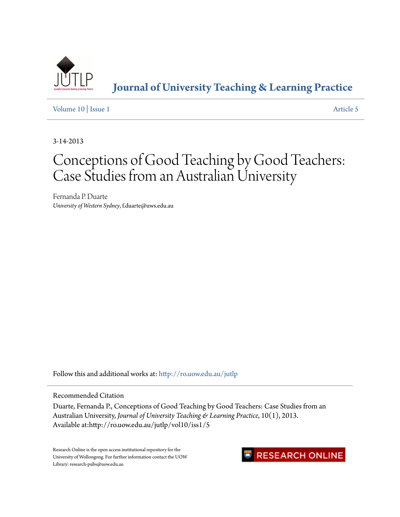

**[Journal of University Teaching & Learning Practice](http://ro.uow.edu.au/jutlp?utm_source=ro.uow.edu.au%2Fjutlp%2Fvol10%2Fiss1%2F5&utm_medium=PDF&utm_campaign=PDFCoverPages)**

[Volume 10](http://ro.uow.edu.au/jutlp/vol10?utm_source=ro.uow.edu.au%2Fjutlp%2Fvol10%2Fiss1%2F5&utm_medium=PDF&utm_campaign=PDFCoverPages) | [Issue 1](http://ro.uow.edu.au/jutlp/vol10/iss1?utm_source=ro.uow.edu.au%2Fjutlp%2Fvol10%2Fiss1%2F5&utm_medium=PDF&utm_campaign=PDFCoverPages) [Article 5](http://ro.uow.edu.au/jutlp/vol10/iss1/5?utm_source=ro.uow.edu.au%2Fjutlp%2Fvol10%2Fiss1%2F5&utm_medium=PDF&utm_campaign=PDFCoverPages)

3-14-2013

# Conceptions of Good Teaching by Good Teachers: Case Studies from an Australian University

Fernanda P. Duarte *University of Western Sydney*, f.duarte@uws.edu.au

Follow this and additional works at: [http://ro.uow.edu.au/jutlp](http://ro.uow.edu.au/jutlp?utm_source=ro.uow.edu.au%2Fjutlp%2Fvol10%2Fiss1%2F5&utm_medium=PDF&utm_campaign=PDFCoverPages)

Recommended Citation

Duarte, Fernanda P., Conceptions of Good Teaching by Good Teachers: Case Studies from an Australian University, *Journal of University Teaching & Learning Practice*, 10(1), 2013. Available at:http://ro.uow.edu.au/jutlp/vol10/iss1/5

Research Online is the open access institutional repository for the University of Wollongong. For further information contact the UOW Library: research-pubs@uow.edu.au

# **RESEARCH ONLINE**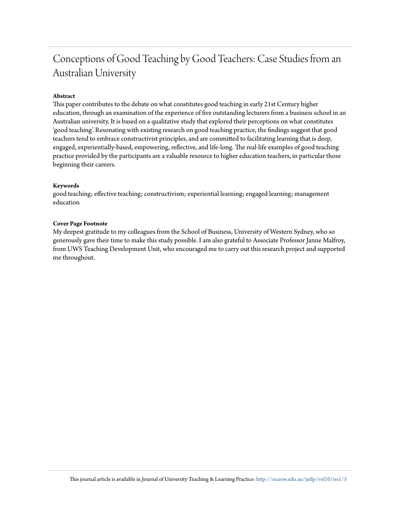# Conceptions of Good Teaching by Good Teachers: Case Studies from an Australian University

### **Abstract**

This paper contributes to the debate on what constitutes good teaching in early 21st Century higher education, through an examination of the experience of five outstanding lecturers from a business school in an Australian university. It is based on a qualitative study that explored their perceptions on what constitutes 'good teaching'. Resonating with existing research on good teaching practice, the findings suggest that good teachers tend to embrace constructivist principles, and are committed to facilitating learning that is deep, engaged, experientially-based, empowering, reflective, and life-long. The real-life examples of good teaching practice provided by the participants are a valuable resource to higher education teachers, in particular those beginning their careers.

#### **Keywords**

good teaching; effective teaching; constructivism; experiential learning; engaged learning; management education

#### **Cover Page Footnote**

My deepest gratitude to my colleagues from the School of Business, University of Western Sydney, who so generously gave their time to make this study possible. I am also grateful to Associate Professor Janne Malfroy, from UWS Teaching Development Unit, who encouraged me to carry out this research project and supported me throughout.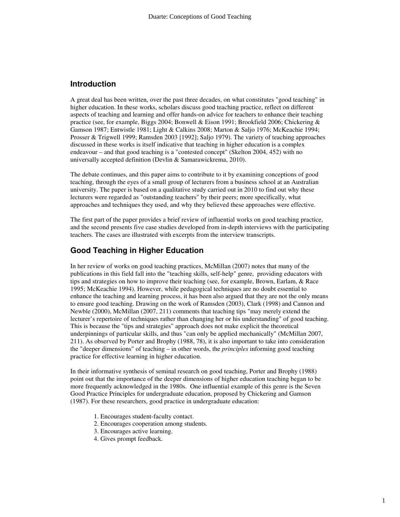# **Introduction**

A great deal has been written, over the past three decades, on what constitutes "good teaching" in higher education. In these works, scholars discuss good teaching practice, reflect on different aspects of teaching and learning and offer hands-on advice for teachers to enhance their teaching practice (see, for example, Biggs 2004; Bonwell & Eison 1991; Brookfield 2006; Chickering & Gamson 1987; Entwistle 1981; Light & Calkins 2008; Marton & Saljo 1976; McKeachie 1994; Prosser & Trigwell 1999; Ramsden 2003 [1992]; Saljo 1979). The variety of teaching approaches discussed in these works is itself indicative that teaching in higher education is a complex endeavour – and that good teaching is a "contested concept" (Skelton 2004, 452) with no universally accepted definition (Devlin & Samarawickrema, 2010).

The debate continues, and this paper aims to contribute to it by examining conceptions of good teaching, through the eyes of a small group of lecturers from a business school at an Australian university. The paper is based on a qualitative study carried out in 2010 to find out why these lecturers were regarded as "outstanding teachers" by their peers; more specifically, what approaches and techniques they used, and why they believed these approaches were effective.

The first part of the paper provides a brief review of influential works on good teaching practice, and the second presents five case studies developed from in-depth interviews with the participating teachers. The cases are illustrated with excerpts from the interview transcripts.

# **Good Teaching in Higher Education**

In her review of works on good teaching practices, McMillan (2007) notes that many of the publications in this field fall into the "teaching skills, self-help" genre, providing educators with tips and strategies on how to improve their teaching (see, for example, Brown, Earlam, & Race 1995; McKeachie 1994). However, while pedagogical techniques are no doubt essential to enhance the teaching and learning process, it has been also argued that they are not the only means to ensure good teaching. Drawing on the work of Ramsden (2003), Clark (1998) and Cannon and Newble (2000), McMillan (2007, 211) comments that teaching tips "may merely extend the lecturer's repertoire of techniques rather than changing her or his understanding" of good teaching. This is because the "tips and strategies" approach does not make explicit the theoretical underpinnings of particular skills, and thus "can only be applied mechanically" (McMillan 2007, 211). As observed by Porter and Brophy (1988, 78), it is also important to take into consideration the "deeper dimensions" of teaching – in other words, the *principles* informing good teaching practice for effective learning in higher education.

In their informative synthesis of seminal research on good teaching, Porter and Brophy (1988) point out that the importance of the deeper dimensions of higher education teaching began to be more frequently acknowledged in the 1980s. One influential example of this genre is the Seven Good Practice Principles for undergraduate education, proposed by Chickering and Gamson (1987). For these researchers, good practice in undergraduate education:

- 1. Encourages student-faculty contact.
- 2. Encourages cooperation among students.
- 3. Encourages active learning.
- 4. Gives prompt feedback.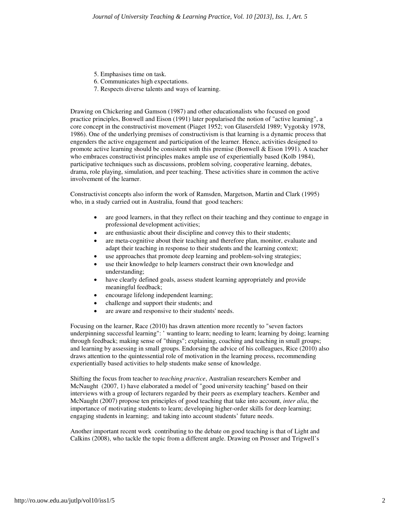- 5. Emphasises time on task.
- 6. Communicates high expectations.
- 7. Respects diverse talents and ways of learning.

Drawing on Chickering and Gamson (1987) and other educationalists who focused on good practice principles, Bonwell and Eison (1991) later popularised the notion of "active learning", a core concept in the constructivist movement (Piaget 1952; von Glasersfeld 1989; Vygotsky 1978, 1986). One of the underlying premises of constructivism is that learning is a dynamic process that engenders the active engagement and participation of the learner. Hence, activities designed to promote active learning should be consistent with this premise (Bonwell  $\&$  Eison 1991). A teacher who embraces constructivist principles makes ample use of experientially based (Kolb 1984), participative techniques such as discussions, problem solving, cooperative learning, debates, drama, role playing, simulation, and peer teaching. These activities share in common the active involvement of the learner.

Constructivist concepts also inform the work of Ramsden, Margetson, Martin and Clark (1995) who, in a study carried out in Australia, found that good teachers:

- are good learners, in that they reflect on their teaching and they continue to engage in professional development activities;
- are enthusiastic about their discipline and convey this to their students;
- are meta-cognitive about their teaching and therefore plan, monitor, evaluate and adapt their teaching in response to their students and the learning context;
- use approaches that promote deep learning and problem-solving strategies;
- use their knowledge to help learners construct their own knowledge and understanding;
- have clearly defined goals, assess student learning appropriately and provide meaningful feedback;
- encourage lifelong independent learning;
- challenge and support their students; and
- are aware and responsive to their students' needs.

Focusing on the learner, Race (2010) has drawn attention more recently to "seven factors underpinning successful learning": ' wanting to learn; needing to learn; learning by doing; learning through feedback; making sense of "things"; explaining, coaching and teaching in small groups; and learning by assessing in small groups. Endorsing the advice of his colleagues, Rice (2010) also draws attention to the quintessential role of motivation in the learning process, recommending experientially based activities to help students make sense of knowledge.

Shifting the focus from teacher to *teaching practice*, Australian researchers Kember and McNaught (2007, 1) have elaborated a model of "good university teaching" based on their interviews with a group of lecturers regarded by their peers as exemplary teachers. Kember and McNaught (2007) propose ten principles of good teaching that take into account, *inter alia*, the importance of motivating students to learn; developing higher-order skills for deep learning; engaging students in learning; and taking into account students' future needs.

Another important recent work contributing to the debate on good teaching is that of Light and Calkins (2008), who tackle the topic from a different angle. Drawing on Prosser and Trigwell's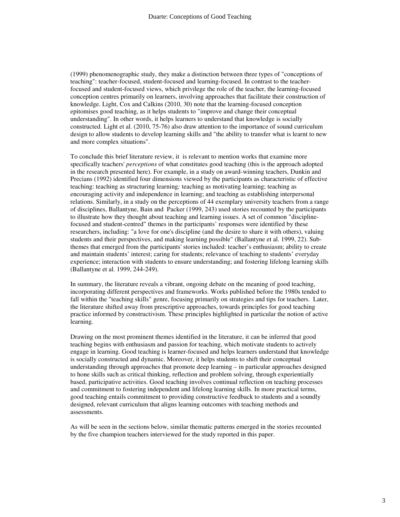(1999) phenomenographic study, they make a distinction between three types of "conceptions of teaching": teacher-focused, student-focused and learning-focused. In contrast to the teacherfocused and student-focused views, which privilege the role of the teacher, the learning-focused conception centres primarily on learners, involving approaches that facilitate their construction of knowledge. Light, Cox and Calkins (2010, 30) note that the learning-focused conception epitomises good teaching, as it helps students to "improve and change their conceptual understanding". In other words, it helps learners to understand that knowledge is socially constructed. Light et al. (2010, 75-76) also draw attention to the importance of sound curriculum design to allow students to develop learning skills and "the ability to transfer what is learnt to new and more complex situations".

To conclude this brief literature review, it is relevant to mention works that examine more specifically teachers' *perceptions* of what constitutes good teaching (this is the approach adopted in the research presented here). For example, in a study on award-winning teachers, Dunkin and Precians (1992) identified four dimensions viewed by the participants as characteristic of effective teaching: teaching as structuring learning*;* teaching as motivating learning; teaching as encouraging activity and independence in learning; and teaching as establishing interpersonal relations. Similarly, in a study on the perceptions of 44 exemplary university teachers from a range of disciplines, Ballantyne, Bain and Packer (1999, 243) used stories recounted by the participants to illustrate how they thought about teaching and learning issues. A set of common "disciplinefocused and student-centred" themes in the participants' responses were identified by these researchers, including: "a love for one's discipline (and the desire to share it with others), valuing students and their perspectives, and making learning possible" (Ballantyne et al. 1999, 22). Subthemes that emerged from the participants' stories included: teacher's enthusiasm; ability to create and maintain students' interest; caring for students; relevance of teaching to students' everyday experience; interaction with students to ensure understanding; and fostering lifelong learning skills (Ballantyne et al. 1999, 244-249).

In summary, the literature reveals a vibrant, ongoing debate on the meaning of good teaching, incorporating different perspectives and frameworks. Works published before the 1980s tended to fall within the "teaching skills" genre, focusing primarily on strategies and tips for teachers. Later, the literature shifted away from prescriptive approaches, towards principles for good teaching practice informed by constructivism. These principles highlighted in particular the notion of active learning.

Drawing on the most prominent themes identified in the literature, it can be inferred that good teaching begins with enthusiasm and passion for teaching, which motivate students to actively engage in learning. Good teaching is learner-focused and helps learners understand that knowledge is socially constructed and dynamic. Moreover, it helps students to shift their conceptual understanding through approaches that promote deep learning – in particular approaches designed to hone skills such as critical thinking, reflection and problem solving, through experientially based, participative activities. Good teaching involves continual reflection on teaching processes and commitment to fostering independent and lifelong learning skills. In more practical terms, good teaching entails commitment to providing constructive feedback to students and a soundly designed, relevant curriculum that aligns learning outcomes with teaching methods and assessments.

As will be seen in the sections below, similar thematic patterns emerged in the stories recounted by the five champion teachers interviewed for the study reported in this paper.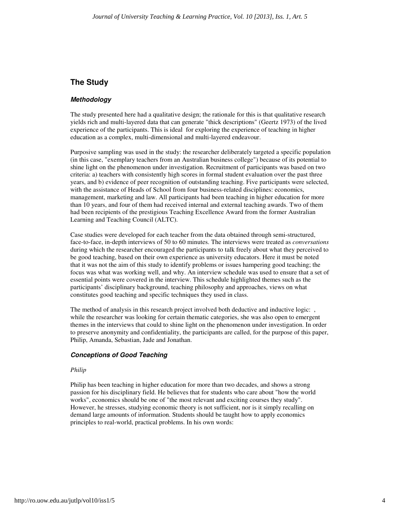# **The Study**

#### **Methodology**

The study presented here had a qualitative design; the rationale for this is that qualitative research yields rich and multi-layered data that can generate "thick descriptions" (Geertz 1973) of the lived experience of the participants. This is ideal for exploring the experience of teaching in higher education as a complex, multi-dimensional and multi-layered endeavour.

Purposive sampling was used in the study: the researcher deliberately targeted a specific population (in this case, "exemplary teachers from an Australian business college") because of its potential to shine light on the phenomenon under investigation. Recruitment of participants was based on two criteria: a) teachers with consistently high scores in formal student evaluation over the past three years, and b) evidence of peer recognition of outstanding teaching. Five participants were selected, with the assistance of Heads of School from four business-related disciplines: economics, management, marketing and law. All participants had been teaching in higher education for more than 10 years, and four of them had received internal and external teaching awards. Two of them had been recipients of the prestigious Teaching Excellence Award from the former Australian Learning and Teaching Council (ALTC).

Case studies were developed for each teacher from the data obtained through semi-structured, face-to-face, in-depth interviews of 50 to 60 minutes. The interviews were treated as *conversations* during which the researcher encouraged the participants to talk freely about what they perceived to be good teaching, based on their own experience as university educators. Here it must be noted that it was not the aim of this study to identify problems or issues hampering good teaching; the focus was what was working well, and why. An interview schedule was used to ensure that a set of essential points were covered in the interview. This schedule highlighted themes such as the participants' disciplinary background, teaching philosophy and approaches, views on what constitutes good teaching and specific techniques they used in class.

The method of analysis in this research project involved both deductive and inductive logic: while the researcher was looking for certain thematic categories, she was also open to emergent themes in the interviews that could to shine light on the phenomenon under investigation. In order to preserve anonymity and confidentiality, the participants are called, for the purpose of this paper, Philip, Amanda, Sebastian, Jade and Jonathan.

#### **Conceptions of Good Teaching**

#### *Philip*

Philip has been teaching in higher education for more than two decades, and shows a strong passion for his disciplinary field. He believes that for students who care about "how the world works", economics should be one of "the most relevant and exciting courses they study". However, he stresses, studying economic theory is not sufficient, nor is it simply recalling on demand large amounts of information. Students should be taught how to apply economics principles to real-world, practical problems. In his own words: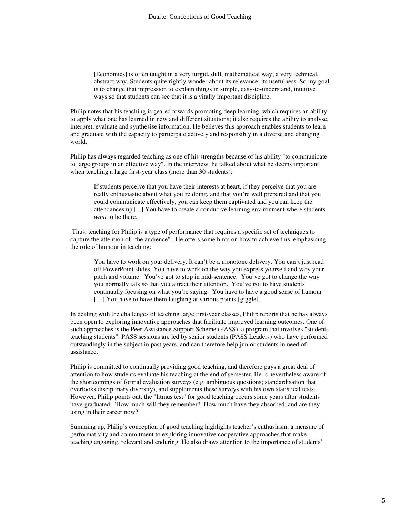[Economics] is often taught in a very turgid, dull, mathematical way; a very technical, abstract way. Students quite rightly wonder about its relevance, its usefulness. So my goal is to change that impression to explain things in simple, easy-to-understand, intuitive ways so that students can see that it is a vitally important discipline.

Philip notes that his teaching is geared towards promoting deep learning, which requires an ability to apply what one has learned in new and different situations; it also requires the ability to analyse, interpret, evaluate and synthesise information. He believes this approach enables students to learn and graduate with the capacity to participate actively and responsibly in a diverse and changing world.

Philip has always regarded teaching as one of his strengths because of his ability "to communicate to large groups in an effective way". In the interview, he talked about what he deems important when teaching a large first-year class (more than 30 students):

If students perceive that you have their interests at heart, if they perceive that you are really enthusiastic about what you're doing, and that you're well prepared and that you could communicate effectively, you can keep them captivated and you can keep the attendances up [...] You have to create a conducive learning environment where students *want* to be there.

 Thus, teaching for Philip is a type of performance that requires a specific set of techniques to capture the attention of "the audience". He offers some hints on how to achieve this, emphasising the role of humour in teaching:

You have to work on your delivery. It can't be a monotone delivery. You can't just read off PowerPoint slides. You have to work on the way you express yourself and vary your pitch and volume. You've got to stop in mid-sentence. You've got to change the way you normally talk so that you attract their attention. You've got to have students continually focusing on what you're saying. You have to have a good sense of humour [...]. You have to have them laughing at various points [giggle].

In dealing with the challenges of teaching large first-year classes, Philip reports that he has always been open to exploring innovative approaches that facilitate improved learning outcomes. One of such approaches is the Peer Assistance Support Scheme (PASS), a program that involves "students teaching students". PASS sessions are led by senior students (PASS Leaders) who have performed outstandingly in the subject in past years, and can therefore help junior students in need of assistance.

Philip is committed to continually providing good teaching, and therefore pays a great deal of attention to how students evaluate his teaching at the end of semester. He is nevertheless aware of the shortcomings of formal evaluation surveys (e.g. ambiguous questions; standardisation that overlooks disciplinary diversity), and supplements these surveys with his own statistical tests. However, Philip points out, the "litmus test" for good teaching occurs some years after students have graduated. "How much will they remember? How much have they absorbed, and are they using in their career now?"

Summing up, Philip's conception of good teaching highlights teacher's enthusiasm, a measure of performativity and commitment to exploring innovative cooperative approaches that make teaching engaging, relevant and enduring. He also draws attention to the importance of students'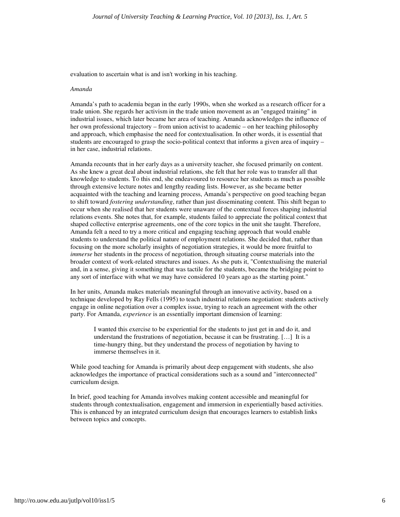evaluation to ascertain what is and isn't working in his teaching.

#### *Amanda*

Amanda's path to academia began in the early 1990s, when she worked as a research officer for a trade union. She regards her activism in the trade union movement as an "engaged training" in industrial issues, which later became her area of teaching. Amanda acknowledges the influence of her own professional trajectory – from union activist to academic – on her teaching philosophy and approach, which emphasise the need for contextualisation. In other words, it is essential that students are encouraged to grasp the socio-political context that informs a given area of inquiry – in her case, industrial relations.

Amanda recounts that in her early days as a university teacher, she focused primarily on content. As she knew a great deal about industrial relations, she felt that her role was to transfer all that knowledge to students. To this end, she endeavoured to resource her students as much as possible through extensive lecture notes and lengthy reading lists. However, as she became better acquainted with the teaching and learning process, Amanda's perspective on good teaching began to shift toward *fostering understanding*, rather than just disseminating content. This shift began to occur when she realised that her students were unaware of the contextual forces shaping industrial relations events. She notes that, for example, students failed to appreciate the political context that shaped collective enterprise agreements, one of the core topics in the unit she taught. Therefore, Amanda felt a need to try a more critical and engaging teaching approach that would enable students to understand the political nature of employment relations. She decided that, rather than focusing on the more scholarly insights of negotiation strategies, it would be more fruitful to *immerse* her students in the process of negotiation, through situating course materials into the broader context of work-related structures and issues. As she puts it, "Contextualising the material and, in a sense, giving it something that was tactile for the students, became the bridging point to any sort of interface with what we may have considered 10 years ago as the starting point."

In her units, Amanda makes materials meaningful through an innovative activity, based on a technique developed by Ray Fells (1995) to teach industrial relations negotiation: students actively engage in online negotiation over a complex issue, trying to reach an agreement with the other party. For Amanda, *experience* is an essentially important dimension of learning:

I wanted this exercise to be experiential for the students to just get in and do it, and understand the frustrations of negotiation, because it can be frustrating. […] It is a time-hungry thing, but they understand the process of negotiation by having to immerse themselves in it.

While good teaching for Amanda is primarily about deep engagement with students, she also acknowledges the importance of practical considerations such as a sound and "interconnected" curriculum design.

In brief, good teaching for Amanda involves making content accessible and meaningful for students through contextualisation, engagement and immersion in experientially based activities. This is enhanced by an integrated curriculum design that encourages learners to establish links between topics and concepts.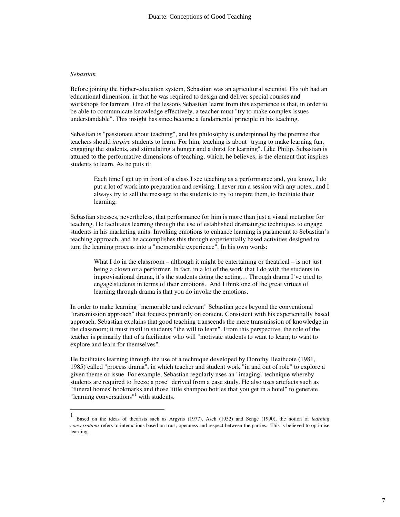#### *Sebastian*

Before joining the higher-education system, Sebastian was an agricultural scientist. His job had an educational dimension, in that he was required to design and deliver special courses and workshops for farmers. One of the lessons Sebastian learnt from this experience is that, in order to be able to communicate knowledge effectively, a teacher must "try to make complex issues understandable". This insight has since become a fundamental principle in his teaching.

Sebastian is "passionate about teaching", and his philosophy is underpinned by the premise that teachers should *inspire* students to learn. For him, teaching is about "trying to make learning fun, engaging the students, and stimulating a hunger and a thirst for learning". Like Philip, Sebastian is attuned to the performative dimensions of teaching, which, he believes, is the element that inspires students to learn. As he puts it:

Each time I get up in front of a class I see teaching as a performance and, you know, I do put a lot of work into preparation and revising. I never run a session with any notes...and I always try to sell the message to the students to try to inspire them, to facilitate their learning.

Sebastian stresses, nevertheless, that performance for him is more than just a visual metaphor for teaching. He facilitates learning through the use of established dramaturgic techniques to engage students in his marketing units. Invoking emotions to enhance learning is paramount to Sebastian's teaching approach, and he accomplishes this through experientially based activities designed to turn the learning process into a "memorable experience". In his own words:

What I do in the classroom – although it might be entertaining or theatrical – is not just being a clown or a performer. In fact, in a lot of the work that I do with the students in improvisational drama, it's the students doing the acting… Through drama I've tried to engage students in terms of their emotions. And I think one of the great virtues of learning through drama is that you do invoke the emotions.

In order to make learning "memorable and relevant" Sebastian goes beyond the conventional "transmission approach" that focuses primarily on content. Consistent with his experientially based approach, Sebastian explains that good teaching transcends the mere transmission of knowledge in the classroom; it must instil in students "the will to learn". From this perspective, the role of the teacher is primarily that of a facilitator who will "motivate students to want to learn; to want to explore and learn for themselves".

He facilitates learning through the use of a technique developed by Dorothy Heathcote (1981, 1985) called "process drama", in which teacher and student work "in and out of role" to explore a given theme or issue. For example, Sebastian regularly uses an "imaging" technique whereby students are required to freeze a pose" derived from a case study. He also uses artefacts such as "funeral homes' bookmarks and those little shampoo bottles that you get in a hotel" to generate "learning conversations"<sup>1</sup> with students.

 1 Based on the ideas of theorists such as Argyris (1977), Asch (1952) and Senge (1990), the notion of *learning conversations* refers to interactions based on trust, openness and respect between the parties. This is believed to optimise learning.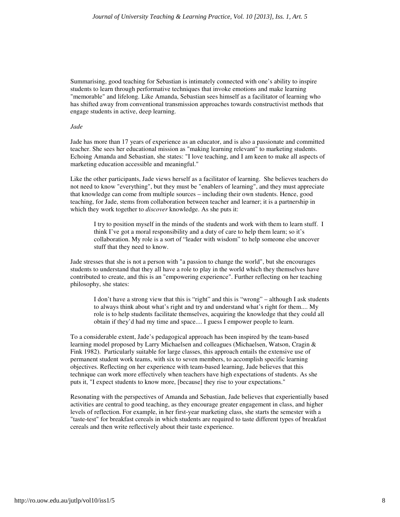Summarising, good teaching for Sebastian is intimately connected with one's ability to inspire students to learn through performative techniques that invoke emotions and make learning "memorable" and lifelong. Like Amanda, Sebastian sees himself as a facilitator of learning who has shifted away from conventional transmission approaches towards constructivist methods that engage students in active, deep learning.

#### *Jade*

Jade has more than 17 years of experience as an educator, and is also a passionate and committed teacher. She sees her educational mission as "making learning relevant" to marketing students. Echoing Amanda and Sebastian, she states: "I love teaching, and I am keen to make all aspects of marketing education accessible and meaningful."

Like the other participants, Jade views herself as a facilitator of learning. She believes teachers do not need to know "everything", but they must be "enablers of learning", and they must appreciate that knowledge can come from multiple sources – including their own students. Hence, good teaching, for Jade, stems from collaboration between teacher and learner; it is a partnership in which they work together to *discover* knowledge. As she puts it:

I try to position myself in the minds of the students and work with them to learn stuff. I think I've got a moral responsibility and a duty of care to help them learn; so it's collaboration. My role is a sort of "leader with wisdom" to help someone else uncover stuff that they need to know.

Jade stresses that she is not a person with "a passion to change the world", but she encourages students to understand that they all have a role to play in the world which they themselves have contributed to create, and this is an "empowering experience". Further reflecting on her teaching philosophy, she states:

I don't have a strong view that this is "right" and this is "wrong" – although I ask students to always think about what's right and try and understand what's right for them.... My role is to help students facilitate themselves, acquiring the knowledge that they could all obtain if they'd had my time and space.... I guess I empower people to learn.

To a considerable extent, Jade's pedagogical approach has been inspired by the team-based learning model proposed by Larry Michaelsen and colleagues (Michaelsen, Watson, Cragin & Fink 1982). Particularly suitable for large classes, this approach entails the extensive use of permanent student work teams, with six to seven members, to accomplish specific learning objectives. Reflecting on her experience with team-based learning, Jade believes that this technique can work more effectively when teachers have high expectations of students. As she puts it, "I expect students to know more, [because] they rise to your expectations."

Resonating with the perspectives of Amanda and Sebastian, Jade believes that experientially based activities are central to good teaching, as they encourage greater engagement in class, and higher levels of reflection. For example, in her first-year marketing class, she starts the semester with a "taste-test" for breakfast cereals in which students are required to taste different types of breakfast cereals and then write reflectively about their taste experience.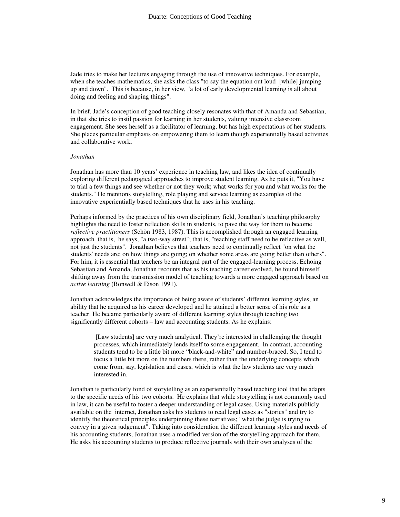Jade tries to make her lectures engaging through the use of innovative techniques. For example, when she teaches mathematics, she asks the class "to say the equation out loud [while] jumping up and down". This is because, in her view, "a lot of early developmental learning is all about doing and feeling and shaping things".

In brief, Jade's conception of good teaching closely resonates with that of Amanda and Sebastian, in that she tries to instil passion for learning in her students, valuing intensive classroom engagement. She sees herself as a facilitator of learning, but has high expectations of her students. She places particular emphasis on empowering them to learn though experientially based activities and collaborative work.

#### *Jonathan*

Jonathan has more than 10 years' experience in teaching law, and likes the idea of continually exploring different pedagogical approaches to improve student learning. As he puts it, "You have to trial a few things and see whether or not they work; what works for you and what works for the students." He mentions storytelling, role playing and service learning as examples of the innovative experientially based techniques that he uses in his teaching.

Perhaps informed by the practices of his own disciplinary field, Jonathan's teaching philosophy highlights the need to foster reflection skills in students, to pave the way for them to become *reflective practitioners* (Schön 1983, 1987). This is accomplished through an engaged learning approach that is, he says, "a two-way street"; that is, "teaching staff need to be reflective as well, not just the students". Jonathan believes that teachers need to continually reflect "on what the students' needs are; on how things are going; on whether some areas are going better than others". For him, it is essential that teachers be an integral part of the engaged-learning process. Echoing Sebastian and Amanda, Jonathan recounts that as his teaching career evolved, he found himself shifting away from the transmission model of teaching towards a more engaged approach based on *active learning* (Bonwell & Eison 1991)*.* 

Jonathan acknowledges the importance of being aware of students' different learning styles, an ability that he acquired as his career developed and he attained a better sense of his role as a teacher. He became particularly aware of different learning styles through teaching two significantly different cohorts – law and accounting students. As he explains:

[Law students] are very much analytical. They're interested in challenging the thought processes, which immediately lends itself to some engagement. In contrast, accounting students tend to be a little bit more "black-and-white" and number-braced. So, I tend to focus a little bit more on the numbers there, rather than the underlying concepts which come from, say, legislation and cases, which is what the law students are very much interested in.

Jonathan is particularly fond of storytelling as an experientially based teaching tool that he adapts to the specific needs of his two cohorts. He explains that while storytelling is not commonly used in law, it can be useful to foster a deeper understanding of legal cases. Using materials publicly available on the internet, Jonathan asks his students to read legal cases as "stories" and try to identify the theoretical principles underpinning these narratives; "what the judge is trying to convey in a given judgement". Taking into consideration the different learning styles and needs of his accounting students, Jonathan uses a modified version of the storytelling approach for them. He asks his accounting students to produce reflective journals with their own analyses of the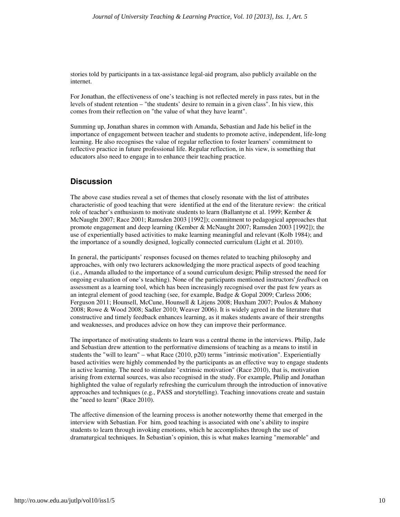stories told by participants in a tax-assistance legal-aid program, also publicly available on the internet.

For Jonathan, the effectiveness of one's teaching is not reflected merely in pass rates, but in the levels of student retention – "the students' desire to remain in a given class". In his view, this comes from their reflection on "the value of what they have learnt".

Summing up, Jonathan shares in common with Amanda, Sebastian and Jade his belief in the importance of engagement between teacher and students to promote active, independent, life-long learning. He also recognises the value of regular reflection to foster learners' commitment to reflective practice in future professional life. Regular reflection, in his view, is something that educators also need to engage in to enhance their teaching practice.

# **Discussion**

The above case studies reveal a set of themes that closely resonate with the list of attributes characteristic of good teaching that were identified at the end of the literature review: the critical role of teacher's enthusiasm to motivate students to learn (Ballantyne et al. 1999; Kember & McNaught 2007; Race 2001; Ramsden 2003 [1992]); commitment to pedagogical approaches that promote engagement and deep learning (Kember & McNaught 2007; Ramsden 2003 [1992]); the use of experientially based activities to make learning meaningful and relevant (Kolb 1984); and the importance of a soundly designed, logically connected curriculum (Light et al. 2010).

In general, the participants' responses focused on themes related to teaching philosophy and approaches, with only two lecturers acknowledging the more practical aspects of good teaching (i.e., Amanda alluded to the importance of a sound curriculum design; Philip stressed the need for ongoing evaluation of one's teaching). None of the participants mentioned instructors' *feedback* on assessment as a learning tool, which has been increasingly recognised over the past few years as an integral element of good teaching (see, for example, Budge & Gopal 2009; Carless 2006; Ferguson 2011; Hounsell, McCune, Hounsell & Litjens 2008; Huxham 2007; Poulos & Mahony 2008; Rowe & Wood 2008; Sadler 2010; Weaver 2006). It is widely agreed in the literature that constructive and timely feedback enhances learning, as it makes students aware of their strengths and weaknesses, and produces advice on how they can improve their performance.

The importance of motivating students to learn was a central theme in the interviews. Philip, Jade and Sebastian drew attention to the performative dimensions of teaching as a means to instil in students the "will to learn" – what Race (2010, p20) terms "intrinsic motivation". Experientially based activities were highly commended by the participants as an effective way to engage students in active learning. The need to stimulate "extrinsic motivation" (Race 2010), that is, motivation arising from external sources, was also recognised in the study. For example, Philip and Jonathan highlighted the value of regularly refreshing the curriculum through the introduction of innovative approaches and techniques (e.g., PASS and storytelling). Teaching innovations create and sustain the "need to learn" (Race 2010).

The affective dimension of the learning process is another noteworthy theme that emerged in the interview with Sebastian. For him, good teaching is associated with one's ability to inspire students to learn through invoking emotions, which he accomplishes through the use of dramaturgical techniques. In Sebastian's opinion, this is what makes learning "memorable" and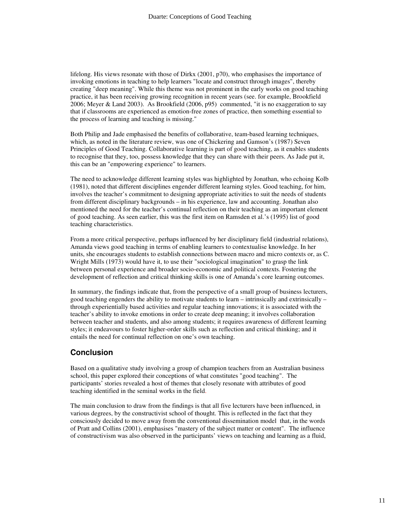lifelong. His views resonate with those of Dirkx (2001, p70), who emphasises the importance of invoking emotions in teaching to help learners "locate and construct through images", thereby creating "deep meaning". While this theme was not prominent in the early works on good teaching practice, it has been receiving growing recognition in recent years (see. for example, Brookfield 2006; Meyer & Land 2003). As Brookfield (2006, p95) commented, "it is no exaggeration to say that if classrooms are experienced as emotion-free zones of practice, then something essential to the process of learning and teaching is missing."

Both Philip and Jade emphasised the benefits of collaborative, team-based learning techniques, which, as noted in the literature review, was one of Chickering and Gamson's (1987) Seven Principles of Good Teaching. Collaborative learning is part of good teaching, as it enables students to recognise that they, too, possess knowledge that they can share with their peers. As Jade put it, this can be an "empowering experience" to learners.

The need to acknowledge different learning styles was highlighted by Jonathan, who echoing Kolb (1981), noted that different disciplines engender different learning styles. Good teaching, for him, involves the teacher's commitment to designing appropriate activities to suit the needs of students from different disciplinary backgrounds – in his experience, law and accounting. Jonathan also mentioned the need for the teacher's continual reflection on their teaching as an important element of good teaching. As seen earlier, this was the first item on Ramsden et al.'s (1995) list of good teaching characteristics.

From a more critical perspective, perhaps influenced by her disciplinary field (industrial relations), Amanda views good teaching in terms of enabling learners to contextualise knowledge. In her units, she encourages students to establish connections between macro and micro contexts or, as C. Wright Mills (1973) would have it, to use their "sociological imagination" to grasp the link between personal experience and broader socio-economic and political contexts. Fostering the development of reflection and critical thinking skills is one of Amanda's core learning outcomes.

In summary, the findings indicate that, from the perspective of a small group of business lecturers, good teaching engenders the ability to motivate students to learn – intrinsically and extrinsically – through experientially based activities and regular teaching innovations; it is associated with the teacher's ability to invoke emotions in order to create deep meaning; it involves collaboration between teacher and students, and also among students; it requires awareness of different learning styles; it endeavours to foster higher-order skills such as reflection and critical thinking; and it entails the need for continual reflection on one's own teaching.

# **Conclusion**

Based on a qualitative study involving a group of champion teachers from an Australian business school, this paper explored their conceptions of what constitutes "good teaching". The participants' stories revealed a host of themes that closely resonate with attributes of good teaching identified in the seminal works in the field.

The main conclusion to draw from the findings is that all five lecturers have been influenced, in various degrees, by the constructivist school of thought. This is reflected in the fact that they consciously decided to move away from the conventional dissemination model that, in the words of Pratt and Collins (2001), emphasises "mastery of the subject matter or content". The influence of constructivism was also observed in the participants' views on teaching and learning as a fluid,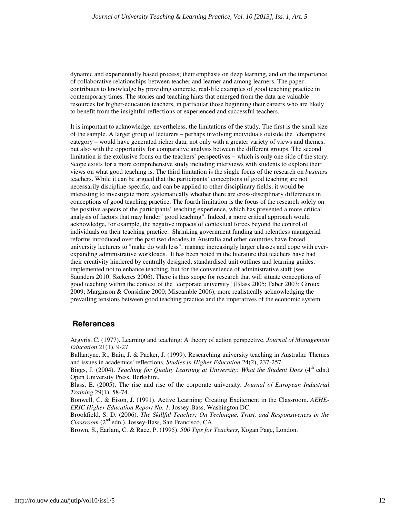dynamic and experientially based process; their emphasis on deep learning, and on the importance of collaborative relationships between teacher and learner and among learners. The paper contributes to knowledge by providing concrete, real-life examples of good teaching practice in contemporary times. The stories and teaching hints that emerged from the data are valuable resources for higher-education teachers, in particular those beginning their careers who are likely to benefit from the insightful reflections of experienced and successful teachers.

It is important to acknowledge, nevertheless, the limitations of the study. The first is the small size of the sample. A larger group of lecturers – perhaps involving individuals outside the "champions" category – would have generated richer data, not only with a greater variety of views and themes, but also with the opportunity for comparative analysis between the different groups. The second limitation is the exclusive focus on the teachers' perspectives − which is only one side of the story. Scope exists for a more comprehensive study including interviews with students to explore their views on what good teaching is. The third limitation is the single focus of the research on *business* teachers. While it can be argued that the participants' conceptions of good teaching are not necessarily discipline-specific, and can be applied to other disciplinary fields, it would be interesting to investigate more systematically whether there are cross-disciplinary differences in conceptions of good teaching practice. The fourth limitation is the focus of the research solely on the positive aspects of the participants' teaching experience, which has prevented a more critical analysis of factors that may hinder "good teaching". Indeed, a more critical approach would acknowledge, for example, the negative impacts of contextual forces beyond the control of individuals on their teaching practice. Shrinking government funding and relentless managerial reforms introduced over the past two decades in Australia and other countries have forced university lecturers to "make do with less", manage increasingly larger classes and cope with everexpanding administrative workloads. It has been noted in the literature that teachers have had their creativity hindered by centrally designed, standardised unit outlines and learning guides, implemented not to enhance teaching, but for the convenience of administrative staff (see Saunders 2010; Szekeres 2006). There is thus scope for research that will situate conceptions of good teaching within the context of the "corporate university" (Blass 2005; Faber 2003; Giroux 2009; Marginson & Considine 2000; Miscamble 2006), more realistically acknowledging the prevailing tensions between good teaching practice and the imperatives of the economic system.

### **References**

Argyris, C. (1977). Learning and teaching: A theory of action perspective. *Journal of Management Education* 21(1), 9-27.

Ballantyne, R., Bain, J. & Packer, J. (1999). Researching university teaching in Australia: Themes and issues in academics' reflections. *Studies in Higher Education* 24(2), 237-257.

Biggs, J. (2004). *Teaching for Quality Learning at University: What the Student Does* (4<sup>th</sup> edn.) Open University Press, Berkshire.

Blass, E. (2005). The rise and rise of the corporate university. *Journal of European Industrial Training* 29(1), 58-74.

Bonwell, C. & Eison, J. (1991). Active Learning: Creating Excitement in the Classroom. *AEHE-ERIC Higher Education Report No. 1*, Jossey-Bass, Washington DC.

Brookfield, S. D. (2006). *The Skillful Teacher: On Technique, Trust, and Responsiveness in the Classroom* (2nd edn.), Jossey-Bass, San Francisco, CA.

Brown, S., Earlam, C. & Race, P. (1995). *500 Tips for Teachers*, Kogan Page, London.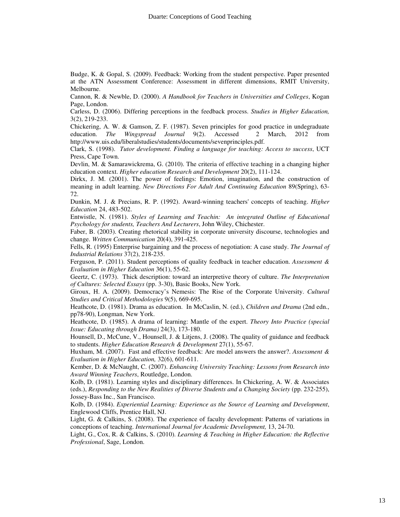Budge, K. & Gopal, S. (2009). Feedback: Working from the student perspective. Paper presented at the ATN Assessment Conference: Assessment in different dimensions, RMIT University, Melbourne.

Cannon, R. & Newble, D. (2000). *A Handbook for Teachers in Universities and Colleges*, Kogan Page, London.

Carless, D. (2006). Differing perceptions in the feedback process. *Studies in Higher Education,* 3(2), 219-233.

Chickering, A. W. & Gamson, Z. F. (1987). Seven principles for good practice in undegraduate education. The Winespread Journal 9(2). Accessed 2 March. 2012 from Wingspread Journal 9(2). Accessed 2 March, 2012 from http://www.uis.edu/liberalstudies/students/documents/sevenprinciples.pdf.

Clark, S. (1998). *Tutor development. Finding a language for teaching: Access to success*, UCT Press, Cape Town.

Devlin, M. & Samarawickrema, G. (2010). The criteria of effective teaching in a changing higher education context. *Higher education Research and Development* 20(2), 111-124.

Dirkx, J. M. (2001). The power of feelings: Emotion, imagination, and the construction of meaning in adult learning. *New Directions For Adult And Continuing Education* 89(Spring), 63- 72.

Dunkin, M. J. & Precians, R. P. (1992). Award-winning teachers' concepts of teaching. *Higher Education* 24, 483-502.

Entwistle, N. (1981). *Styles of Learning and Teachin: An integrated Outline of Educational Psychology for students, Teachers And Lecturers*, John Wiley, Chichester.

Faber, B. (2003). Creating rhetorical stability in corporate university discourse, technologies and change. *Written Communication* 20(4), 391-425.

Fells, R. (1995) Enterprise bargaining and the process of negotiation: A case study. *The Journal of Industrial Relations* 37(2), 218-235.

Ferguson, P. (2011). Student perceptions of quality feedback in teacher education. *Assessment & Evaluation in Higher Education* 36(1), 55-62.

Geertz, C. (1973). Thick description: toward an interpretive theory of culture. *The Interpretation of Cultures: Selected Essays* (pp. 3-30), Basic Books, New York.

Giroux, H. A. (2009). Democracy's Nemesis: The Rise of the Corporate University. *Cultural Studies and Critical Methodologies* 9(5), 669-695.

Heathcote, D. (1981). Drama as education. In McCaslin, N. (ed.), *Children and Drama* (2nd edn., pp78-90), Longman, New York.

Heathcote, D. (1985). A drama of learning: Mantle of the expert. *Theory Into Practice (special Issue: Educating through Drama)* 24(3), 173-180.

Hounsell, D., McCune, V., Hounsell, J. & Litjens, J. (2008). The quality of guidance and feedback to students. *Higher Education Research & Development* 27(1), 55-67.

Huxham, M. (2007). Fast and effective feedback: Are model answers the answer?. *Assessment & Evaluation in Higher Education,* 32(6), 601-611.

Kember, D. & McNaught, C. (2007). *Enhancing University Teaching: Lessons from Research into Award Winning Teachers*, Routledge, London.

Kolb, D. (1981). Learning styles and disciplinary differences. In Chickering, A. W. & Associates (eds.), *Responding to the New Realities of Diverse Students and a Changing Society* (pp. 232-255), Jossey-Bass Inc., San Francisco.

Kolb, D. (1984). *Experiential Learning: Experience as the Source of Learning and Development*, Englewood Cliffs, Prentice Hall, NJ.

Light, G. & Calkins, S. (2008). The experience of faculty development: Patterns of variations in conceptions of teaching. *International Journal for Academic Development,* 13, 24-70.

Light, G., Cox, R. & Calkins, S. (2010). *Learning & Teaching in Higher Education: the Reflective Professional*, Sage, London.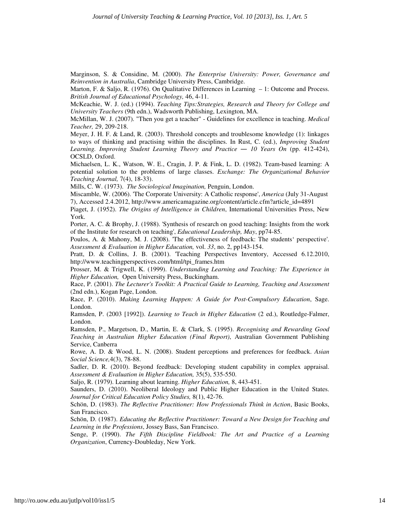Marginson, S. & Considine, M. (2000). *The Enterprise University: Power, Governance and Reinvention in Australia*, Cambridge University Press, Cambridge.

Marton, F. & Saljo, R. (1976). On Qualitative Differences in Learning – 1: Outcome and Process. *British Journal of Educational Psychology,* 46, 4-11.

McKeachie, W. J. (ed.) (1994). *Teaching Tips:Strategies, Research and Theory for College and University Teachers* (9th edn.), Wadsworth Publishing, Lexington, MA.

McMillan, W. J. (2007). "Then you get a teacher" - Guidelines for excellence in teaching. *Medical Teacher,* 29, 209-218.

Meyer, J. H. F. & Land, R. (2003). Threshold concepts and troublesome knowledge (1): linkages to ways of thinking and practising within the disciplines. In Rust, C. (ed.), *Improving Student Learning. Improving Student Learning Theory and Practice* ― *10 Years On* (pp. 412-424), OCSLD, Oxford.

Michaelsen, L. K., Watson, W. E., Cragin, J. P. & Fink, L. D. (1982). Team-based learning: A potential solution to the problems of large classes. *Exchange: The Organizational Behavior Teaching Journal,* 7(4), 18-33).

Mills, C. W. (1973). *The Sociological Imagination,* Penguin, London.

Miscamble, W. (2006). 'The Corporate University: A Catholic response', *America* (July 31-August 7), Accessed 2.4.2012, http://www.americamagazine.org/content/article.cfm?article\_id=4891

Piaget, J. (1952). *The Origins of Intelligence in Children*, International Universities Press, New York.

Porter, A. C. & Brophy, J. (1988). 'Synthesis of research on good teaching: Insights from the work of the Institute for research on teaching', *Educational Leadership, May*, pp74-85.

Poulos, A. & Mahony, M. J. (2008). 'The effectiveness of feedback: The students' perspective'. *Assessment & Evaluation in Higher Education,* vol. *33*, no. 2, pp143-154.

Pratt, D. & Collins, J. B. (2001). 'Teaching Perspectives Inventory, Accessed 6.12.2010, http://www.teachingperspectives.com/html/tpi\_frames.htm

Prosser, M. & Trigwell, K. (1999). *Understanding Learning and Teaching: The Experience in Higher Education,* Open University Press, Buckingham.

Race, P. (2001). *The Lecturer's Toolkit: A Practical Guide to Learning, Teaching and Assessment* (2nd edn.), Kogan Page, London.

Race, P. (2010). *Making Learning Happen: A Guide for Post-Compulsory Education*, Sage. London.

Ramsden, P. (2003 [1992]). *Learning to Teach in Higher Education* (2 ed.), Routledge-Falmer, London.

Ramsden, P., Margetson, D., Martin, E. & Clark, S. (1995). *Recognising and Rewarding Good Teaching in Australian Higher Education (Final Report)*, Australian Government Publishing Service, Canberra

Rowe, A. D. & Wood, L. N. (2008). Student perceptions and preferences for feedback. *Asian Social Science,*4(3), 78-88.

Sadler, D. R. (2010). Beyond feedback: Developing student capability in complex appraisal. *Assessment & Evaluation in Higher Education,* 35(5), 535-550.

Saljo, R. (1979). Learning about learning. *Higher Education,* 8, 443-451.

Saunders, D. (2010). Neoliberal Ideology and Public Higher Education in the United States. *Journal for Critical Education Policy Studies,* 8(1), 42-76.

Schön, D. (1983). *The Reflective Practitioner: How Professionals Think in Action*, Basic Books, San Francisco.

Schön, D. (1987). *Educating the Reflective Practitioner: Toward a New Design for Teaching and Learning in the Professions*, Jossey Bass, San Francisco.

Senge, P. (1990). *The Fifth Discipline Fieldbook: The Art and Practice of a Learning Organization*, Currency-Doubleday, New York.